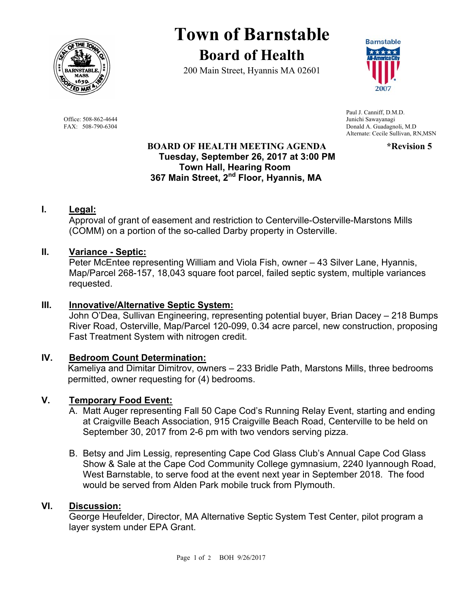

## **Town of Barnstable Board of Health**

200 Main Street, Hyannis MA 02601



 Paul J. Canniff, D.M.D. Office: 508-862-4644 Junichi Sawayanagi<br>
FAX: 508-790-6304 Donald A. Guadagne Donald A. Guadagnoli, M.D. Alternate: Cecile Sullivan, RN,MSN

#### **BOARD OF HEALTH MEETING AGENDA \*Revision 5 Tuesday, September 26, 2017 at 3:00 PM Town Hall, Hearing Room 367 Main Street, 2nd Floor, Hyannis, MA**

#### **I. Legal:**

Approval of grant of easement and restriction to Centerville-Osterville-Marstons Mills (COMM) on a portion of the so-called Darby property in Osterville.

#### **II. Variance - Septic:**

Peter McEntee representing William and Viola Fish, owner – 43 Silver Lane, Hyannis, Map/Parcel 268-157, 18,043 square foot parcel, failed septic system, multiple variances requested.

#### **III. Innovative/Alternative Septic System:**

John O'Dea, Sullivan Engineering, representing potential buyer, Brian Dacey – 218 Bumps River Road, Osterville, Map/Parcel 120-099, 0.34 acre parcel, new construction, proposing Fast Treatment System with nitrogen credit.

#### **IV. Bedroom Count Determination:**

Kameliya and Dimitar Dimitrov, owners – 233 Bridle Path, Marstons Mills, three bedrooms permitted, owner requesting for (4) bedrooms.

#### **V. Temporary Food Event:**

- A. Matt Auger representing Fall 50 Cape Cod's Running Relay Event, starting and ending at Craigville Beach Association, 915 Craigville Beach Road, Centerville to be held on September 30, 2017 from 2-6 pm with two vendors serving pizza.
- B. Betsy and Jim Lessig, representing Cape Cod Glass Club's Annual Cape Cod Glass Show & Sale at the Cape Cod Community College gymnasium, 2240 Iyannough Road, West Barnstable, to serve food at the event next year in September 2018. The food would be served from Alden Park mobile truck from Plymouth.

#### **VI. Discussion:**

George Heufelder, Director, MA Alternative Septic System Test Center, pilot program a layer system under EPA Grant.